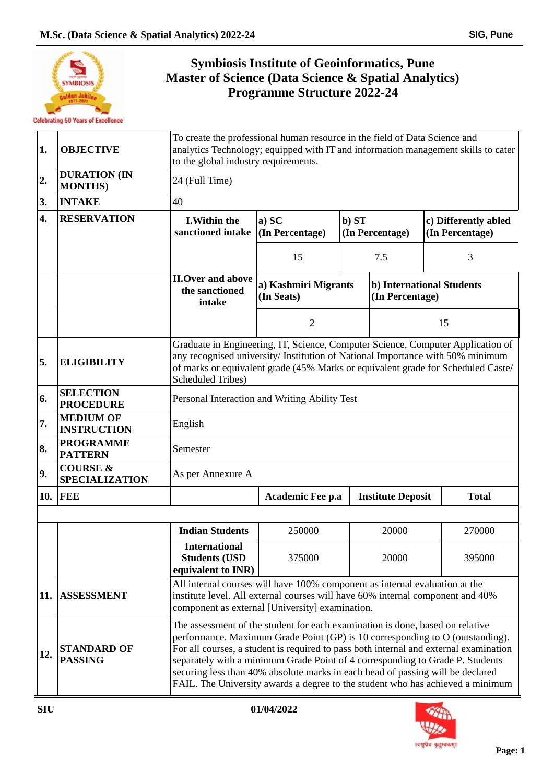

## **Symbiosis Institute of Geoinformatics, Pune Master of Science (Data Science & Spatial Analytics) Programme Structure 2022-24**

| 1.  | <b>OBJECTIVE</b>                             | To create the professional human resource in the field of Data Science and<br>analytics Technology; equipped with IT and information management skills to cater<br>to the global industry requirements.                                                                                                                                                                                                                                                                                                      |                                    |       |                                                |  |                      |  |  |
|-----|----------------------------------------------|--------------------------------------------------------------------------------------------------------------------------------------------------------------------------------------------------------------------------------------------------------------------------------------------------------------------------------------------------------------------------------------------------------------------------------------------------------------------------------------------------------------|------------------------------------|-------|------------------------------------------------|--|----------------------|--|--|
| 2.  | <b>DURATION (IN</b><br><b>MONTHS</b> )       | 24 (Full Time)                                                                                                                                                                                                                                                                                                                                                                                                                                                                                               |                                    |       |                                                |  |                      |  |  |
| 3.  | <b>INTAKE</b>                                | 40                                                                                                                                                                                                                                                                                                                                                                                                                                                                                                           |                                    |       |                                                |  |                      |  |  |
| 4.  | <b>RESERVATION</b>                           | <b>I.Within the</b><br>sanctioned intake (In Percentage)                                                                                                                                                                                                                                                                                                                                                                                                                                                     | a) SC                              | b) ST | (In Percentage)<br>(In Percentage)<br>7.5<br>3 |  | c) Differently abled |  |  |
|     |                                              |                                                                                                                                                                                                                                                                                                                                                                                                                                                                                                              | 15                                 |       |                                                |  |                      |  |  |
|     |                                              | <b>II.Over and above</b><br>the sanctioned<br>intake                                                                                                                                                                                                                                                                                                                                                                                                                                                         | a) Kashmiri Migrants<br>(In Seats) |       | b) International Students<br>(In Percentage)   |  |                      |  |  |
|     |                                              |                                                                                                                                                                                                                                                                                                                                                                                                                                                                                                              | $\overline{2}$                     | 15    |                                                |  |                      |  |  |
| 5.  | <b>ELIGIBILITY</b>                           | Graduate in Engineering, IT, Science, Computer Science, Computer Application of<br>any recognised university/ Institution of National Importance with 50% minimum<br>of marks or equivalent grade (45% Marks or equivalent grade for Scheduled Caste/<br><b>Scheduled Tribes)</b>                                                                                                                                                                                                                            |                                    |       |                                                |  |                      |  |  |
| 6.  | <b>SELECTION</b><br><b>PROCEDURE</b>         | Personal Interaction and Writing Ability Test                                                                                                                                                                                                                                                                                                                                                                                                                                                                |                                    |       |                                                |  |                      |  |  |
| 7.  | <b>MEDIUM OF</b><br><b>INSTRUCTION</b>       | English                                                                                                                                                                                                                                                                                                                                                                                                                                                                                                      |                                    |       |                                                |  |                      |  |  |
| 8.  | <b>PROGRAMME</b><br><b>PATTERN</b>           | Semester                                                                                                                                                                                                                                                                                                                                                                                                                                                                                                     |                                    |       |                                                |  |                      |  |  |
| 9.  | <b>COURSE &amp;</b><br><b>SPECIALIZATION</b> | As per Annexure A                                                                                                                                                                                                                                                                                                                                                                                                                                                                                            |                                    |       |                                                |  |                      |  |  |
| 10. | <b>FEE</b>                                   | <b>Institute Deposit</b><br><b>Total</b><br>Academic Fee p.a                                                                                                                                                                                                                                                                                                                                                                                                                                                 |                                    |       |                                                |  |                      |  |  |
|     |                                              |                                                                                                                                                                                                                                                                                                                                                                                                                                                                                                              |                                    |       |                                                |  |                      |  |  |
|     |                                              | <b>Indian Students</b><br>250000<br>20000<br>270000                                                                                                                                                                                                                                                                                                                                                                                                                                                          |                                    |       |                                                |  |                      |  |  |
|     |                                              | <b>International</b><br><b>Students (USD</b><br>375000<br>20000<br>395000<br>equivalent to INR)                                                                                                                                                                                                                                                                                                                                                                                                              |                                    |       |                                                |  |                      |  |  |
| 11. | <b>ASSESSMENT</b>                            | All internal courses will have 100% component as internal evaluation at the<br>institute level. All external courses will have 60% internal component and 40%<br>component as external [University] examination.                                                                                                                                                                                                                                                                                             |                                    |       |                                                |  |                      |  |  |
| 12. | <b>STANDARD OF</b><br><b>PASSING</b>         | The assessment of the student for each examination is done, based on relative<br>performance. Maximum Grade Point (GP) is 10 corresponding to O (outstanding).<br>For all courses, a student is required to pass both internal and external examination<br>separately with a minimum Grade Point of 4 corresponding to Grade P. Students<br>securing less than 40% absolute marks in each head of passing will be declared<br>FAIL. The University awards a degree to the student who has achieved a minimum |                                    |       |                                                |  |                      |  |  |

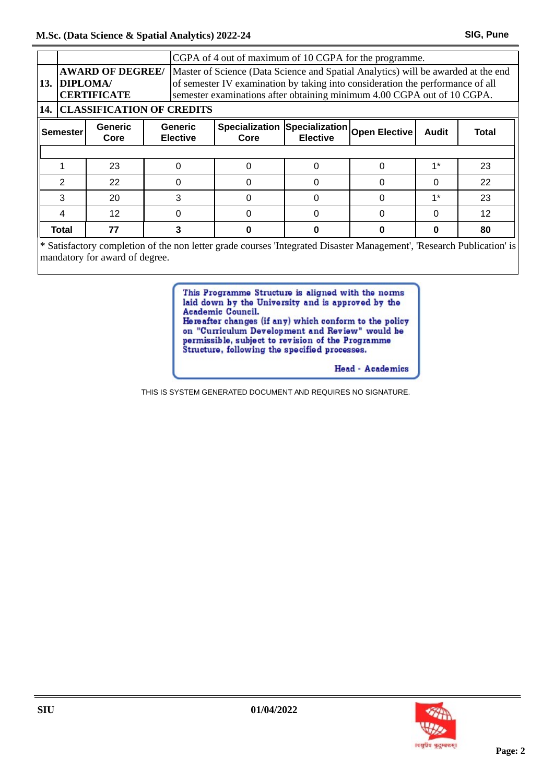|                                                                                                                                                                                                                                                                                                                 |                                      |                                   |   | CGPA of 4 out of maximum of 10 CGPA for the programme. |                                                  |  |              |       |    |
|-----------------------------------------------------------------------------------------------------------------------------------------------------------------------------------------------------------------------------------------------------------------------------------------------------------------|--------------------------------------|-----------------------------------|---|--------------------------------------------------------|--------------------------------------------------|--|--------------|-------|----|
| <b>AWARD OF DEGREE/</b><br>Master of Science (Data Science and Spatial Analytics) will be awarded at the end<br>of semester IV examination by taking into consideration the performance of all<br>13. DIPLOMA/<br>semester examinations after obtaining minimum 4.00 CGPA out of 10 CGPA.<br><b>CERTIFICATE</b> |                                      |                                   |   |                                                        |                                                  |  |              |       |    |
|                                                                                                                                                                                                                                                                                                                 | <b>14. CLASSIFICATION OF CREDITS</b> |                                   |   |                                                        |                                                  |  |              |       |    |
| <b>Generic</b><br><b>Semester</b><br>Core                                                                                                                                                                                                                                                                       |                                      | <b>Generic</b><br><b>Elective</b> |   | <b>Specialization</b><br>Core                          | Specialization Open Elective!<br><b>Elective</b> |  | <b>Audit</b> | Total |    |
|                                                                                                                                                                                                                                                                                                                 |                                      |                                   |   |                                                        |                                                  |  |              |       |    |
|                                                                                                                                                                                                                                                                                                                 |                                      | 23                                |   |                                                        |                                                  |  | ŋ            | $1*$  | 23 |
|                                                                                                                                                                                                                                                                                                                 | 2                                    | 22                                |   |                                                        |                                                  |  |              | 0     | 22 |
|                                                                                                                                                                                                                                                                                                                 | 3                                    | 20                                | 3 |                                                        |                                                  |  |              | $1*$  | 23 |
|                                                                                                                                                                                                                                                                                                                 |                                      | 12                                |   |                                                        |                                                  |  | O            | 0     | 12 |
|                                                                                                                                                                                                                                                                                                                 | Total                                | 77                                | 3 |                                                        |                                                  |  |              | Ω     | 80 |

\* Satisfactory completion of the non letter grade courses 'Integrated Disaster Management', 'Research Publication' is mandatory for award of degree.

> This Programme Structure is aligned with the norms laid down by the University and is approved by the Academic Council.

Hereafter changes (if any) which conform to the policy on "Curriculum Development and Review" would be permissible, subject to revision of the Programme<br>Structure, following the specified processes.

Head - Academics

THIS IS SYSTEM GENERATED DOCUMENT AND REQUIRES NO SIGNATURE.

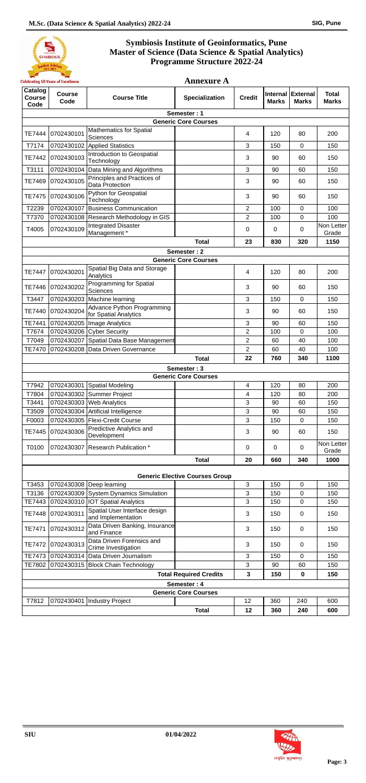## **Symbiosis Institute of Geoinformatics, Pune Master of Science (Data Science & Spatial Analytics) Programme Structure 2022-24**



|                                            | <b>Celebrating 50 Years of Excellence</b> |                                                                              | <b>Annexure A</b>                     |                         |              |                                   |                              |  |
|--------------------------------------------|-------------------------------------------|------------------------------------------------------------------------------|---------------------------------------|-------------------------|--------------|-----------------------------------|------------------------------|--|
| Catalog<br><b>Course</b><br>Code           | <b>Course</b><br>Code                     | <b>Course Title</b>                                                          | <b>Specialization</b>                 | <b>Credit</b>           | <b>Marks</b> | Internal External<br><b>Marks</b> | <b>Total</b><br><b>Marks</b> |  |
| Semester: 1                                |                                           |                                                                              |                                       |                         |              |                                   |                              |  |
|                                            |                                           | <b>Mathematics for Spatial</b>                                               | <b>Generic Core Courses</b>           |                         |              |                                   |                              |  |
| TE7444                                     | 0702430101                                | Sciences                                                                     |                                       | 4                       | 120          | 80                                | 200                          |  |
| T7174                                      |                                           | 0702430102 Applied Statistics                                                |                                       | 3                       | 150          | $\mathbf 0$                       | 150                          |  |
| TE7442                                     | 0702430103                                | Introduction to Geospatial<br>Technology                                     |                                       | 3                       | 90           | 60                                | 150                          |  |
| T3111                                      | 0702430104                                | Data Mining and Algorithms                                                   |                                       | 3                       | 90           | 60                                | 150                          |  |
| <b>TE7469</b>                              | 0702430105                                | Principles and Practices of<br>Data Protection                               |                                       | 3                       | 90           | 60                                | 150                          |  |
| TE7475                                     | 0702430106                                | Python for Geospatial<br>Technology                                          |                                       | 3                       | 90           | 60                                | 150                          |  |
| T2239                                      | 0702430107                                | Business Communication                                                       |                                       | $\overline{2}$          | 100          | $\mathbf 0$                       | 100                          |  |
| T7370                                      |                                           | 0702430108 Research Methodology in GIS                                       |                                       | $\overline{2}$          | 100          | 0                                 | 100                          |  |
| T4005                                      | 0702430109                                | <b>Integrated Disaster</b><br>Management *                                   |                                       | 0                       | 0            | 0                                 | Non Letter<br>Grade          |  |
|                                            |                                           |                                                                              | <b>Total</b>                          | 23                      | 830          | 320                               | 1150                         |  |
|                                            |                                           |                                                                              | Semester: 2                           |                         |              |                                   |                              |  |
|                                            |                                           | Spatial Big Data and Storage                                                 | <b>Generic Core Courses</b>           |                         |              |                                   |                              |  |
| <b>TE7447</b>                              | 0702430201                                | Analytics<br><b>Programming for Spatial</b>                                  |                                       | 4                       | 120          | 80                                | 200                          |  |
| TE7446                                     | 0702430202                                | Sciences                                                                     |                                       | 3                       | 90           | 60                                | 150                          |  |
| T3447                                      |                                           | 0702430203 Machine learning                                                  |                                       | 3                       | 150          | $\mathbf 0$                       | 150                          |  |
| TE7440                                     | 0702430204                                | Advance Python Programming<br>for Spatial Analytics                          |                                       | 3                       | 90           | 60                                | 150                          |  |
| TE7441                                     |                                           | 0702430205   Image Analytics                                                 |                                       | 3                       | 90           | 60                                | 150                          |  |
| T7674                                      |                                           | 0702430206 Cyber Security                                                    |                                       | $\overline{2}$          | 100          | $\Omega$                          | 100                          |  |
| T7049                                      |                                           | 0702430207 Spatial Data Base Management<br>0702430208 Data Driven Governance |                                       | 2                       | 60           | 40<br>40                          | 100                          |  |
| <b>TE7470</b>                              |                                           |                                                                              | <b>Total</b>                          | $\overline{c}$<br>22    | 60<br>760    | 340                               | 100<br>1100                  |  |
|                                            |                                           |                                                                              |                                       |                         |              |                                   |                              |  |
| Semester: 3<br><b>Generic Core Courses</b> |                                           |                                                                              |                                       |                         |              |                                   |                              |  |
| T7942                                      |                                           | 0702430301 Spatial Modeling                                                  |                                       | $\overline{\mathbf{4}}$ | 120          | 80                                | 200                          |  |
| T7804                                      | 0702430302                                | Summer Project                                                               |                                       | 4                       | 120          | 80                                | 200                          |  |
| T3441                                      |                                           | 0702430303 Web Analytics                                                     |                                       | 3                       | 90           | 60                                | 150                          |  |
| T3509                                      |                                           | 0702430304 Artificial Intelligence                                           |                                       | 3                       | 90           | 60                                | 150                          |  |
| F0003                                      |                                           | 0702430305   Flexi-Credit Course                                             |                                       | 3                       | 150          | $\mathbf 0$                       | 150                          |  |
| TE7445                                     | 0702430306                                | Predictive Analytics and<br>Development                                      |                                       | 3                       | 90           | 60                                | 150                          |  |
| T0100                                      |                                           | 0702430307 Research Publication *                                            |                                       | 0                       | 0            | 0                                 | Non Letter<br>Grade          |  |
|                                            |                                           |                                                                              | <b>Total</b>                          | 20                      | 660          | 340                               | 1000                         |  |
|                                            |                                           |                                                                              | <b>Generic Elective Courses Group</b> |                         |              |                                   |                              |  |
| T3453                                      |                                           | 0702430308 Deep learning                                                     |                                       | 3                       | 150          | $\mathbf 0$                       | 150                          |  |
| T3136                                      |                                           | 0702430309 System Dynamics Simulation                                        |                                       | 3                       | 150          | $\mathbf 0$                       | 150                          |  |
| TE7443                                     |                                           | 0702430310   IOT Spatial Analytics                                           |                                       | 3                       | 150          | $\mathbf 0$                       | 150                          |  |
| <b>TE7448</b>                              | 0702430311                                | Spatial User Interface design<br>and Implementation                          |                                       | 3                       | 150          | 0                                 | 150                          |  |
| TE7471                                     | 0702430312                                | Data Driven Banking, Insurance<br>and Finance                                |                                       | 3                       | 150          | 0                                 | 150                          |  |
| TE7472                                     | 0702430313                                | Data Driven Forensics and<br>Crime Investigation                             |                                       | 3                       | 150          | $\mathbf 0$                       | 150                          |  |
| <b>TE7473</b>                              |                                           | 0702430314 Data Driven Journalism                                            |                                       | 3                       | 150          | $\mathbf 0$                       | 150                          |  |
| TE7802                                     |                                           | 0702430315 Block Chain Technology                                            |                                       | 3                       | 90           | 60                                | 150                          |  |
|                                            |                                           |                                                                              | <b>Total Required Credits</b>         | 3                       | 150          | 0                                 | 150                          |  |
|                                            |                                           |                                                                              | Semester: 4                           |                         |              |                                   |                              |  |
|                                            |                                           |                                                                              | <b>Generic Core Courses</b>           |                         |              |                                   |                              |  |
| T7812                                      | 0702430401                                | Industry Project                                                             |                                       | 12                      | 360          | 240                               | 600                          |  |
|                                            |                                           |                                                                              | <b>Total</b>                          | 12                      | 360          | 240                               | 600                          |  |

**SIU 01/04/2022**